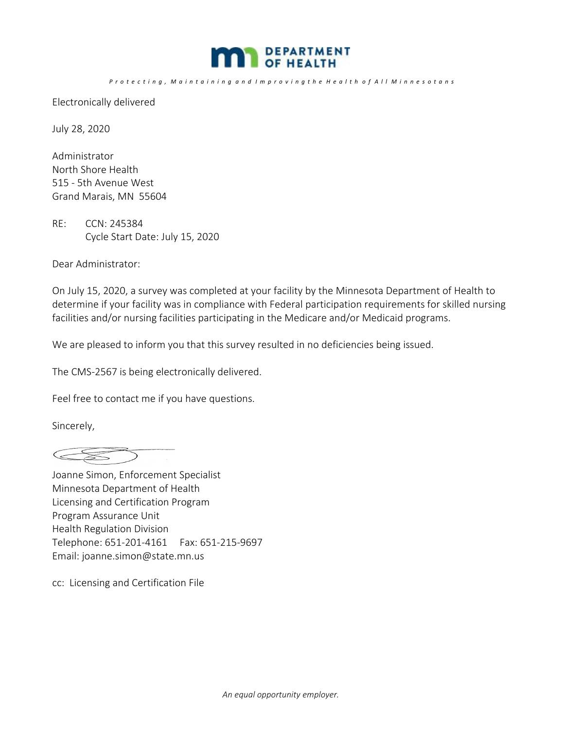

## Protecting, Maintaining and Improving the Health of All Minnesotans

Electronically delivered

July 28, 2020

Administrator North Shore Health 515 ‐ 5th Avenue West Grand Marais, MN 55604

RE: CCN: 245384 Cycle Start Date: July 15, 2020

Dear Administrator:

On July 15, 2020, a survey was completed at your facility by the Minnesota Department of Health to determine if your facility was in compliance with Federal participation requirements for skilled nursing facilities and/or nursing facilities participating in the Medicare and/or Medicaid programs.

We are pleased to inform you that this survey resulted in no deficiencies being issued.

The CMS‐2567 is being electronically delivered.

Feel free to contact me if you have questions.

Sincerely,

 $\begin{picture}(120,20) \put(0,0){\line(1,0){10}} \put(15,0){\line(1,0){10}} \put(15,0){\line(1,0){10}} \put(15,0){\line(1,0){10}} \put(15,0){\line(1,0){10}} \put(15,0){\line(1,0){10}} \put(15,0){\line(1,0){10}} \put(15,0){\line(1,0){10}} \put(15,0){\line(1,0){10}} \put(15,0){\line(1,0){10}} \put(15,0){\line(1,0){10}} \put(15,0){\line($ 

Joanne Simon, Enforcement Specialist Minnesota Department of Health Licensing and Certification Program Program Assurance Unit Health Regulation Division Telephone: 651‐201‐4161 Fax: 651‐215‐9697 Email: joanne.simon@state.mn.us

cc: Licensing and Certification File